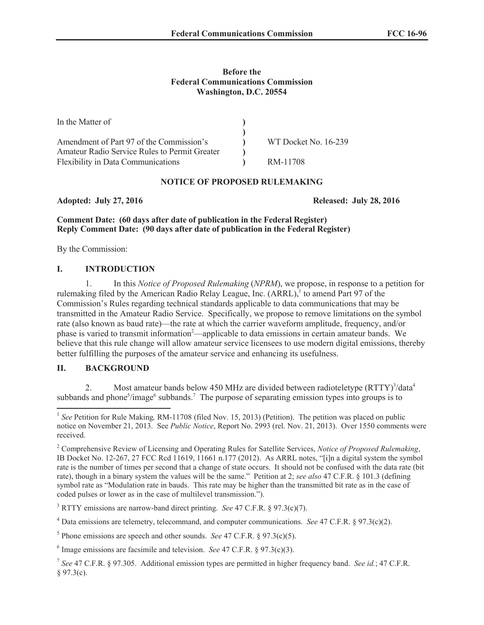### **Before the Federal Communications Commission Washington, D.C. 20554**

| In the Matter of                              |                      |
|-----------------------------------------------|----------------------|
|                                               |                      |
| Amendment of Part 97 of the Commission's      | WT Docket No. 16-239 |
| Amateur Radio Service Rules to Permit Greater |                      |
| <b>Flexibility in Data Communications</b>     | RM-11708             |

## **NOTICE OF PROPOSED RULEMAKING**

**Adopted: July 27, 2016 Released: July 28, 2016**

**Comment Date: (60 days after date of publication in the Federal Register) Reply Comment Date: (90 days after date of publication in the Federal Register)**

By the Commission:

# **I. INTRODUCTION**

1. In this *Notice of Proposed Rulemaking* (*NPRM*), we propose, in response to a petition for rulemaking filed by the American Radio Relay League, Inc. (ARRL),<sup>1</sup> to amend Part 97 of the Commission's Rules regarding technical standards applicable to data communications that may be transmitted in the Amateur Radio Service. Specifically, we propose to remove limitations on the symbol rate (also known as baud rate)—the rate at which the carrier waveform amplitude, frequency, and/or phase is varied to transmit information<sup>2</sup>—applicable to data emissions in certain amateur bands. We believe that this rule change will allow amateur service licensees to use modern digital emissions, thereby better fulfilling the purposes of the amateur service and enhancing its usefulness.

## **II. BACKGROUND**

2. Most amateur bands below 450 MHz are divided between radioteletype (RTTY)<sup>3</sup>/data<sup>4</sup> subbands and phone<sup>5</sup>/image<sup>6</sup> subbands.<sup>7</sup> The purpose of separating emission types into groups is to

<sup>3</sup> RTTY emissions are narrow-band direct printing. *See* 47 C.F.R. § 97.3(c)(7).

<sup>&</sup>lt;sup>1</sup> See Petition for Rule Making, RM-11708 (filed Nov. 15, 2013) (Petition). The petition was placed on public notice on November 21, 2013. See *Public Notice*, Report No. 2993 (rel. Nov. 21, 2013). Over 1550 comments were received.

<sup>2</sup> Comprehensive Review of Licensing and Operating Rules for Satellite Services, *Notice of Proposed Rulemaking*, IB Docket No. 12-267, 27 FCC Rcd 11619, 11661 n.177 (2012). As ARRL notes, "[i]n a digital system the symbol rate is the number of times per second that a change of state occurs. It should not be confused with the data rate (bit rate), though in a binary system the values will be the same." Petition at 2; *see also* 47 C.F.R. § 101.3 (defining symbol rate as "Modulation rate in bauds. This rate may be higher than the transmitted bit rate as in the case of coded pulses or lower as in the case of multilevel transmission.").

<sup>4</sup> Data emissions are telemetry, telecommand, and computer communications. *See* 47 C.F.R. § 97.3(c)(2).

<sup>&</sup>lt;sup>5</sup> Phone emissions are speech and other sounds. *See* 47 C.F.R. § 97.3(c)(5).

<sup>6</sup> Image emissions are facsimile and television. *See* 47 C.F.R. § 97.3(c)(3).

<sup>7</sup> *See* 47 C.F.R. § 97.305. Additional emission types are permitted in higher frequency band. *See id.*; 47 C.F.R.  $§ 97.3(c).$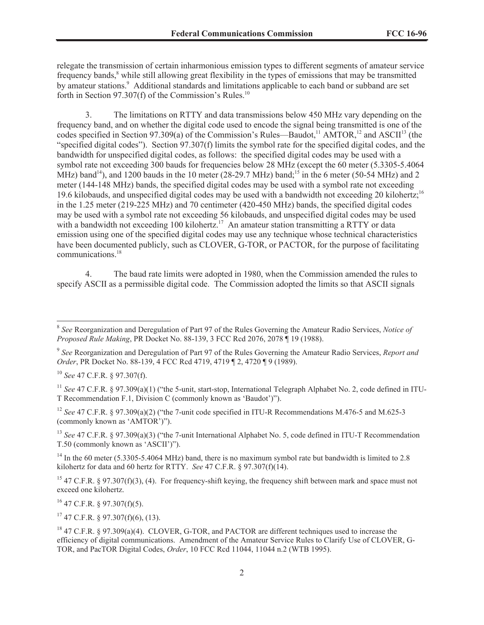relegate the transmission of certain inharmonious emission types to different segments of amateur service frequency bands,<sup>8</sup> while still allowing great flexibility in the types of emissions that may be transmitted by amateur stations.<sup>9</sup> Additional standards and limitations applicable to each band or subband are set forth in Section 97.307(f) of the Commission's Rules.<sup>10</sup>

3. The limitations on RTTY and data transmissions below 450 MHz vary depending on the frequency band, and on whether the digital code used to encode the signal being transmitted is one of the codes specified in Section 97.309(a) of the Commission's Rules—Baudot,<sup>11</sup> AMTOR,<sup>12</sup> and ASCII<sup>13</sup> (the "specified digital codes"). Section 97.307(f) limits the symbol rate for the specified digital codes, and the bandwidth for unspecified digital codes, as follows: the specified digital codes may be used with a symbol rate not exceeding 300 bauds for frequencies below 28 MHz (except the 60 meter (5.3305-5.4064 MHz) band<sup>14</sup>), and 1200 bauds in the 10 meter (28-29.7 MHz) band;<sup>15</sup> in the 6 meter (50-54 MHz) and 2 meter (144-148 MHz) bands, the specified digital codes may be used with a symbol rate not exceeding 19.6 kilobauds, and unspecified digital codes may be used with a bandwidth not exceeding 20 kilohertz;<sup>16</sup> in the 1.25 meter (219-225 MHz) and 70 centimeter (420-450 MHz) bands, the specified digital codes may be used with a symbol rate not exceeding 56 kilobauds, and unspecified digital codes may be used with a bandwidth not exceeding 100 kilohertz.<sup>17</sup> An amateur station transmitting a RTTY or data emission using one of the specified digital codes may use any technique whose technical characteristics have been documented publicly, such as CLOVER, G-TOR, or PACTOR, for the purpose of facilitating communications. 18

4. The baud rate limits were adopted in 1980, when the Commission amended the rules to specify ASCII as a permissible digital code. The Commission adopted the limits so that ASCII signals

<sup>13</sup> *See* 47 C.F.R. § 97.309(a)(3) ("the 7-unit International Alphabet No. 5, code defined in ITU-T Recommendation T.50 (commonly known as 'ASCII')").

<sup>14</sup> In the 60 meter (5.3305-5.4064 MHz) band, there is no maximum symbol rate but bandwidth is limited to 2.8 kilohertz for data and 60 hertz for RTTY. *See* 47 C.F.R. § 97.307(f)(14).

<sup>15</sup> 47 C.F.R. § 97.307(f)(3), (4). For frequency-shift keying, the frequency shift between mark and space must not exceed one kilohertz.

 $^{16}$  47 C.F.R. § 97.307(f)(5).

 $17$  47 C.F.R. § 97.307(f)(6), (13).

<sup>8</sup> *See* Reorganization and Deregulation of Part 97 of the Rules Governing the Amateur Radio Services, *Notice of Proposed Rule Making*, PR Docket No. 88-139, 3 FCC Rcd 2076, 2078 ¶ 19 (1988).

<sup>9</sup> *See* Reorganization and Deregulation of Part 97 of the Rules Governing the Amateur Radio Services, *Report and Order*, PR Docket No. 88-139, 4 FCC Rcd 4719, 4719 **[2, 4720 [9 (1989)**.

<sup>10</sup> *See* 47 C.F.R. § 97.307(f).

<sup>&</sup>lt;sup>11</sup> *See* 47 C.F.R. § 97.309(a)(1) ("the 5-unit, start-stop, International Telegraph Alphabet No. 2, code defined in ITU-T Recommendation F.1, Division C (commonly known as 'Baudot')").

<sup>&</sup>lt;sup>12</sup> *See* 47 C.F.R. § 97.309(a)(2) ("the 7-unit code specified in ITU-R Recommendations M.476-5 and M.625-3 (commonly known as 'AMTOR')").

<sup>&</sup>lt;sup>18</sup> 47 C.F.R. § 97.309(a)(4). CLOVER, G-TOR, and PACTOR are different techniques used to increase the efficiency of digital communications. Amendment of the Amateur Service Rules to Clarify Use of CLOVER, G-TOR, and PacTOR Digital Codes, *Order*, 10 FCC Rcd 11044, 11044 n.2 (WTB 1995).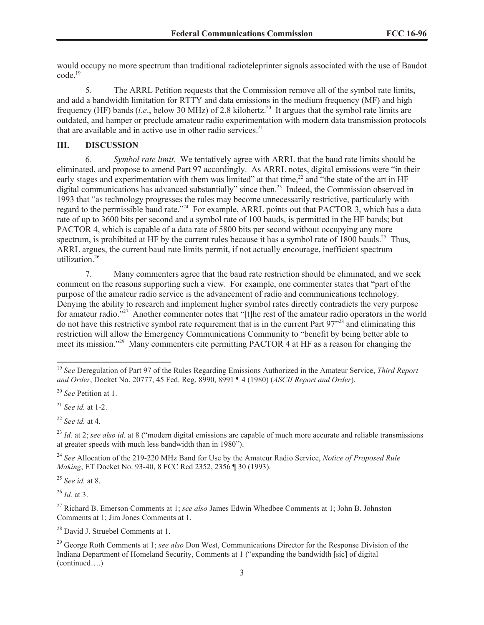would occupy no more spectrum than traditional radioteleprinter signals associated with the use of Baudot code.<sup>19</sup>

5. The ARRL Petition requests that the Commission remove all of the symbol rate limits, and add a bandwidth limitation for RTTY and data emissions in the medium frequency (MF) and high frequency (HF) bands (*i.e.*, below 30 MHz) of 2.8 kilohertz.<sup>20</sup> It argues that the symbol rate limits are outdated, and hamper or preclude amateur radio experimentation with modern data transmission protocols that are available and in active use in other radio services.<sup>21</sup>

# **III. DISCUSSION**

6. *Symbol rate limit*. We tentatively agree with ARRL that the baud rate limits should be eliminated, and propose to amend Part 97 accordingly. As ARRL notes, digital emissions were "in their early stages and experimentation with them was limited" at that time,<sup>22</sup> and "the state of the art in HF digital communications has advanced substantially" since then.<sup>23</sup> Indeed, the Commission observed in 1993 that "as technology progresses the rules may become unnecessarily restrictive, particularly with regard to the permissible baud rate."<sup>24</sup> For example, ARRL points out that PACTOR 3, which has a data rate of up to 3600 bits per second and a symbol rate of 100 bauds, is permitted in the HF bands; but PACTOR 4, which is capable of a data rate of 5800 bits per second without occupying any more spectrum, is prohibited at HF by the current rules because it has a symbol rate of  $1800$  bauds.<sup>25</sup> Thus, ARRL argues, the current baud rate limits permit, if not actually encourage, inefficient spectrum utilization.<sup>26</sup>

7. Many commenters agree that the baud rate restriction should be eliminated, and we seek comment on the reasons supporting such a view. For example, one commenter states that "part of the purpose of the amateur radio service is the advancement of radio and communications technology. Denying the ability to research and implement higher symbol rates directly contradicts the very purpose for amateur radio."<sup>27</sup> Another commenter notes that "[t]he rest of the amateur radio operators in the world do not have this restrictive symbol rate requirement that is in the current Part 97"<sup>28</sup> and eliminating this restriction will allow the Emergency Communications Community to "benefit by being better able to meet its mission.<sup>229</sup> Many commenters cite permitting PACTOR 4 at HF as a reason for changing the

<sup>21</sup> *See id.* at 1-2.

<sup>25</sup> *See id.* at 8.

<sup>26</sup> *Id.* at 3.

<sup>28</sup> David J. Struebel Comments at 1.

<sup>19</sup> *See* Deregulation of Part 97 of the Rules Regarding Emissions Authorized in the Amateur Service, *Third Report and Order*, Docket No. 20777, 45 Fed. Reg. 8990, 8991 ¶ 4 (1980) (*ASCII Report and Order*).

<sup>20</sup> *See* Petition at 1.

<sup>22</sup> *See id.* at 4.

<sup>&</sup>lt;sup>23</sup> *Id.* at 2; *see also id.* at 8 ("modern digital emissions are capable of much more accurate and reliable transmissions at greater speeds with much less bandwidth than in 1980").

<sup>24</sup> *See* Allocation of the 219-220 MHz Band for Use by the Amateur Radio Service, *Notice of Proposed Rule Making*, ET Docket No. 93-40, 8 FCC Rcd 2352, 2356 ¶ 30 (1993).

<sup>27</sup> Richard B. Emerson Comments at 1; *see also* James Edwin Whedbee Comments at 1; John B. Johnston Comments at 1; Jim Jones Comments at 1.

<sup>29</sup> George Roth Comments at 1; *see also* Don West, Communications Director for the Response Division of the Indiana Department of Homeland Security, Comments at 1 ("expanding the bandwidth [sic] of digital (continued….)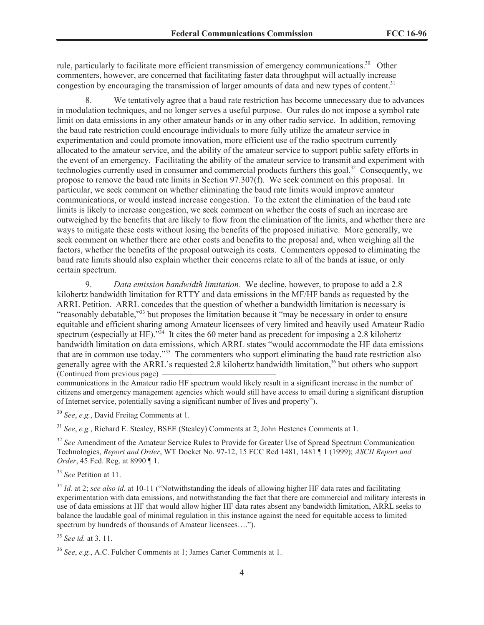rule, particularly to facilitate more efficient transmission of emergency communications.<sup>30</sup> Other commenters, however, are concerned that facilitating faster data throughput will actually increase congestion by encouraging the transmission of larger amounts of data and new types of content.<sup>31</sup>

8. We tentatively agree that a baud rate restriction has become unnecessary due to advances in modulation techniques, and no longer serves a useful purpose. Our rules do not impose a symbol rate limit on data emissions in any other amateur bands or in any other radio service. In addition, removing the baud rate restriction could encourage individuals to more fully utilize the amateur service in experimentation and could promote innovation, more efficient use of the radio spectrum currently allocated to the amateur service, and the ability of the amateur service to support public safety efforts in the event of an emergency. Facilitating the ability of the amateur service to transmit and experiment with technologies currently used in consumer and commercial products furthers this goal.<sup>32</sup> Consequently, we propose to remove the baud rate limits in Section 97.307(f). We seek comment on this proposal. In particular, we seek comment on whether eliminating the baud rate limits would improve amateur communications, or would instead increase congestion. To the extent the elimination of the baud rate limits is likely to increase congestion, we seek comment on whether the costs of such an increase are outweighed by the benefits that are likely to flow from the elimination of the limits, and whether there are ways to mitigate these costs without losing the benefits of the proposed initiative. More generally, we seek comment on whether there are other costs and benefits to the proposal and, when weighing all the factors, whether the benefits of the proposal outweigh its costs. Commenters opposed to eliminating the baud rate limits should also explain whether their concerns relate to all of the bands at issue, or only certain spectrum.

9. *Data emission bandwidth limitation*. We decline, however, to propose to add a 2.8 kilohertz bandwidth limitation for RTTY and data emissions in the MF/HF bands as requested by the ARRL Petition. ARRL concedes that the question of whether a bandwidth limitation is necessary is "reasonably debatable,"<sup>33</sup> but proposes the limitation because it "may be necessary in order to ensure equitable and efficient sharing among Amateur licensees of very limited and heavily used Amateur Radio spectrum (especially at HF)."<sup>34</sup> It cites the 60 meter band as precedent for imposing a 2.8 kilohertz bandwidth limitation on data emissions, which ARRL states "would accommodate the HF data emissions that are in common use today."<sup>35</sup> The commenters who support eliminating the baud rate restriction also generally agree with the ARRL's requested 2.8 kilohertz bandwidth limitation,<sup>36</sup> but others who support (Continued from previous page)

communications in the Amateur radio HF spectrum would likely result in a significant increase in the number of citizens and emergency management agencies which would still have access to email during a significant disruption of Internet service, potentially saving a significant number of lives and property").

<sup>30</sup> *See*, *e.g.*, David Freitag Comments at 1.

<sup>31</sup> *See*, *e.g.*, Richard E. Stealey, BSEE (Stealey) Comments at 2; John Hestenes Comments at 1.

<sup>32</sup> See Amendment of the Amateur Service Rules to Provide for Greater Use of Spread Spectrum Communication Technologies, *Report and Order*, WT Docket No. 97-12, 15 FCC Rcd 1481, 1481 ¶ 1 (1999); *ASCII Report and Order*, 45 Fed. Reg. at 8990 ¶ 1.

<sup>33</sup> *See* Petition at 11.

<sup>34</sup> *Id.* at 2; *see also id.* at 10-11 ("Notwithstanding the ideals of allowing higher HF data rates and facilitating experimentation with data emissions, and notwithstanding the fact that there are commercial and military interests in use of data emissions at HF that would allow higher HF data rates absent any bandwidth limitation, ARRL seeks to balance the laudable goal of minimal regulation in this instance against the need for equitable access to limited spectrum by hundreds of thousands of Amateur licensees….").

<sup>35</sup> *See id.* at 3, 11.

<sup>36</sup> *See*, *e.g.*, A.C. Fulcher Comments at 1; James Carter Comments at 1.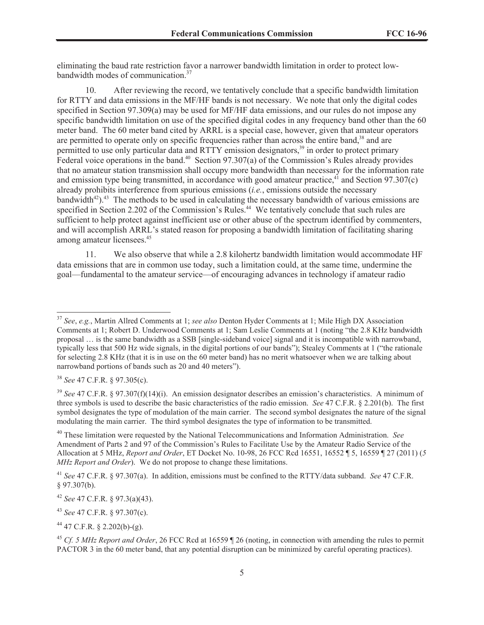eliminating the baud rate restriction favor a narrower bandwidth limitation in order to protect lowbandwidth modes of communication.<sup>37</sup>

10. After reviewing the record, we tentatively conclude that a specific bandwidth limitation for RTTY and data emissions in the MF/HF bands is not necessary. We note that only the digital codes specified in Section 97.309(a) may be used for MF/HF data emissions, and our rules do not impose any specific bandwidth limitation on use of the specified digital codes in any frequency band other than the 60 meter band. The 60 meter band cited by ARRL is a special case, however, given that amateur operators are permitted to operate only on specific frequencies rather than across the entire band,<sup>38</sup> and are permitted to use only particular data and RTTY emission designators,<sup>39</sup> in order to protect primary Federal voice operations in the band.<sup>40</sup> Section 97.307(a) of the Commission's Rules already provides that no amateur station transmission shall occupy more bandwidth than necessary for the information rate and emission type being transmitted, in accordance with good amateur practice,  $\frac{4}{1}$  and Section 97.307(c) already prohibits interference from spurious emissions (*i.e.*, emissions outside the necessary bandwidth $42$ ).<sup>43</sup> The methods to be used in calculating the necessary bandwidth of various emissions are specified in Section 2.202 of the Commission's Rules.<sup>44</sup> We tentatively conclude that such rules are sufficient to help protect against inefficient use or other abuse of the spectrum identified by commenters, and will accomplish ARRL's stated reason for proposing a bandwidth limitation of facilitating sharing among amateur licensees.<sup>45</sup>

11. We also observe that while a 2.8 kilohertz bandwidth limitation would accommodate HF data emissions that are in common use today, such a limitation could, at the same time, undermine the goal—fundamental to the amateur service—of encouraging advances in technology if amateur radio

<sup>38</sup> *See* 47 C.F.R. § 97.305(c).

<sup>43</sup> *See* 47 C.F.R. § 97.307(c).

 $44$  47 C.F.R. § 2.202(b)-(g).

<sup>37</sup> *See*, *e.g.*, Martin Allred Comments at 1; *see also* Denton Hyder Comments at 1; Mile High DX Association Comments at 1; Robert D. Underwood Comments at 1; Sam Leslie Comments at 1 (noting "the 2.8 KHz bandwidth proposal … is the same bandwidth as a SSB [single-sideband voice] signal and it is incompatible with narrowband, typically less that 500 Hz wide signals, in the digital portions of our bands"); Stealey Comments at 1 ("the rationale for selecting 2.8 KHz (that it is in use on the 60 meter band) has no merit whatsoever when we are talking about narrowband portions of bands such as 20 and 40 meters").

<sup>39</sup> *See* 47 C.F.R. § 97.307(f)(14)(i). An emission designator describes an emission's characteristics. A minimum of three symbols is used to describe the basic characteristics of the radio emission. *See* 47 C.F.R. § 2.201(b). The first symbol designates the type of modulation of the main carrier. The second symbol designates the nature of the signal modulating the main carrier. The third symbol designates the type of information to be transmitted.

<sup>40</sup> These limitation were requested by the National Telecommunications and Information Administration. *See*  Amendment of Parts 2 and 97 of the Commission's Rules to Facilitate Use by the Amateur Radio Service of the Allocation at 5 MHz, *Report and Order*, ET Docket No. 10-98, 26 FCC Rcd 16551, 16552 ¶ 5, 16559 ¶ 27 (2011) (*5 MHz Report and Order*). We do not propose to change these limitations.

<sup>41</sup> *See* 47 C.F.R. § 97.307(a). In addition, emissions must be confined to the RTTY/data subband. *See* 47 C.F.R. § 97.307(b).

<sup>42</sup> *See* 47 C.F.R. § 97.3(a)(43).

<sup>45</sup> *Cf. 5 MHz Report and Order*, 26 FCC Rcd at 16559 ¶ 26 (noting, in connection with amending the rules to permit PACTOR 3 in the 60 meter band, that any potential disruption can be minimized by careful operating practices).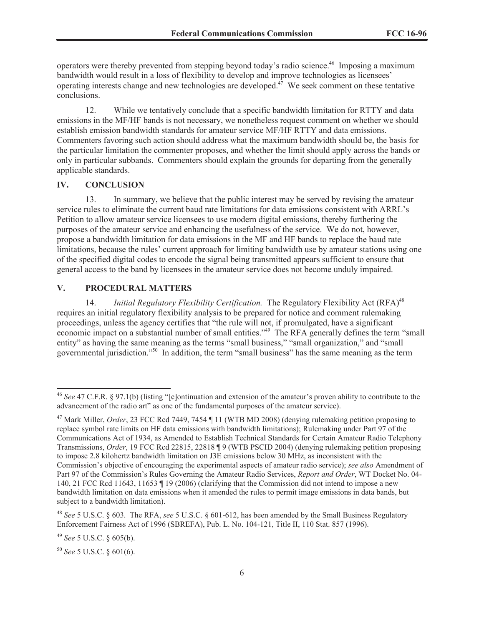operators were thereby prevented from stepping beyond today's radio science.<sup>46</sup> Imposing a maximum bandwidth would result in a loss of flexibility to develop and improve technologies as licensees' operating interests change and new technologies are developed.<sup> $47$ </sup> We seek comment on these tentative conclusions.

12. While we tentatively conclude that a specific bandwidth limitation for RTTY and data emissions in the MF/HF bands is not necessary, we nonetheless request comment on whether we should establish emission bandwidth standards for amateur service MF/HF RTTY and data emissions. Commenters favoring such action should address what the maximum bandwidth should be, the basis for the particular limitation the commenter proposes, and whether the limit should apply across the bands or only in particular subbands. Commenters should explain the grounds for departing from the generally applicable standards.

#### **IV. CONCLUSION**

13. In summary, we believe that the public interest may be served by revising the amateur service rules to eliminate the current baud rate limitations for data emissions consistent with ARRL's Petition to allow amateur service licensees to use modern digital emissions, thereby furthering the purposes of the amateur service and enhancing the usefulness of the service. We do not, however, propose a bandwidth limitation for data emissions in the MF and HF bands to replace the baud rate limitations, because the rules' current approach for limiting bandwidth use by amateur stations using one of the specified digital codes to encode the signal being transmitted appears sufficient to ensure that general access to the band by licensees in the amateur service does not become unduly impaired.

## **V. PROCEDURAL MATTERS**

14. *Initial Regulatory Flexibility Certification*. The Regulatory Flexibility Act (RFA)<sup>48</sup> requires an initial regulatory flexibility analysis to be prepared for notice and comment rulemaking proceedings, unless the agency certifies that "the rule will not, if promulgated, have a significant economic impact on a substantial number of small entities."<sup>49</sup> The RFA generally defines the term "small entity" as having the same meaning as the terms "small business," "small organization," and "small governmental jurisdiction."<sup>50</sup> In addition, the term "small business" has the same meaning as the term

<sup>46</sup> *See* 47 C.F.R. § 97.1(b) (listing "[c]ontinuation and extension of the amateur's proven ability to contribute to the advancement of the radio art" as one of the fundamental purposes of the amateur service).

<sup>&</sup>lt;sup>47</sup> Mark Miller, *Order*, 23 FCC Rcd 7449, 7454 | 11 (WTB MD 2008) (denying rulemaking petition proposing to replace symbol rate limits on HF data emissions with bandwidth limitations); Rulemaking under Part 97 of the Communications Act of 1934, as Amended to Establish Technical Standards for Certain Amateur Radio Telephony Transmissions, *Order*, 19 FCC Rcd 22815, 22818 ¶ 9 (WTB PSCID 2004) (denying rulemaking petition proposing to impose 2.8 kilohertz bandwidth limitation on J3E emissions below 30 MHz, as inconsistent with the Commission's objective of encouraging the experimental aspects of amateur radio service); *see also* Amendment of Part 97 of the Commission's Rules Governing the Amateur Radio Services, *Report and Order*, WT Docket No. 04- 140, 21 FCC Rcd 11643, 11653 ¶ 19 (2006) (clarifying that the Commission did not intend to impose a new bandwidth limitation on data emissions when it amended the rules to permit image emissions in data bands, but subject to a bandwidth limitation).

<sup>48</sup> *See* 5 U.S.C. § 603. The RFA, *see* 5 U.S.C. § 601-612, has been amended by the Small Business Regulatory Enforcement Fairness Act of 1996 (SBREFA), Pub. L. No. 104-121, Title II, 110 Stat. 857 (1996).

<sup>49</sup> *See* 5 U.S.C. § 605(b).

<sup>50</sup> *See* 5 U.S.C. § 601(6).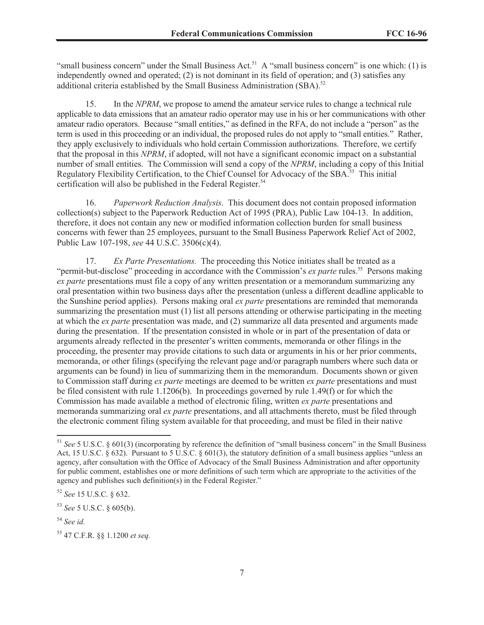"small business concern" under the Small Business Act.<sup>51</sup> A "small business concern" is one which: (1) is independently owned and operated; (2) is not dominant in its field of operation; and (3) satisfies any additional criteria established by the Small Business Administration (SBA).<sup>52</sup>

15. In the *NPRM*, we propose to amend the amateur service rules to change a technical rule applicable to data emissions that an amateur radio operator may use in his or her communications with other amateur radio operators. Because "small entities," as defined in the RFA, do not include a "person" as the term is used in this proceeding or an individual, the proposed rules do not apply to "small entities." Rather, they apply exclusively to individuals who hold certain Commission authorizations. Therefore, we certify that the proposal in this *NPRM*, if adopted, will not have a significant economic impact on a substantial number of small entities. The Commission will send a copy of the *NPRM*, including a copy of this Initial Regulatory Flexibility Certification, to the Chief Counsel for Advocacy of the SBA.<sup>53</sup> This initial certification will also be published in the Federal Register.<sup>54</sup>

16. *Paperwork Reduction Analysis*. This document does not contain proposed information collection(s) subject to the Paperwork Reduction Act of 1995 (PRA), Public Law 104-13. In addition, therefore, it does not contain any new or modified information collection burden for small business concerns with fewer than 25 employees, pursuant to the Small Business Paperwork Relief Act of 2002, Public Law 107-198, *see* 44 U.S.C. 3506(c)(4).

17. *Ex Parte Presentations.* The proceeding this Notice initiates shall be treated as a "permit-but-disclose" proceeding in accordance with the Commission's *ex parte* rules.<sup>55</sup> Persons making *ex parte* presentations must file a copy of any written presentation or a memorandum summarizing any oral presentation within two business days after the presentation (unless a different deadline applicable to the Sunshine period applies). Persons making oral *ex parte* presentations are reminded that memoranda summarizing the presentation must (1) list all persons attending or otherwise participating in the meeting at which the *ex parte* presentation was made, and (2) summarize all data presented and arguments made during the presentation. If the presentation consisted in whole or in part of the presentation of data or arguments already reflected in the presenter's written comments, memoranda or other filings in the proceeding, the presenter may provide citations to such data or arguments in his or her prior comments, memoranda, or other filings (specifying the relevant page and/or paragraph numbers where such data or arguments can be found) in lieu of summarizing them in the memorandum. Documents shown or given to Commission staff during *ex parte* meetings are deemed to be written *ex parte* presentations and must be filed consistent with rule 1.1206(b). In proceedings governed by rule 1.49(f) or for which the Commission has made available a method of electronic filing, written *ex parte* presentations and memoranda summarizing oral *ex parte* presentations, and all attachments thereto, must be filed through the electronic comment filing system available for that proceeding, and must be filed in their native

<sup>51</sup> *See* 5 U.S.C. § 601(3) (incorporating by reference the definition of "small business concern" in the Small Business Act, 15 U.S.C. § 632). Pursuant to 5 U.S.C. § 601(3), the statutory definition of a small business applies "unless an agency, after consultation with the Office of Advocacy of the Small Business Administration and after opportunity for public comment, establishes one or more definitions of such term which are appropriate to the activities of the agency and publishes such definition(s) in the Federal Register."

<sup>52</sup> *See* 15 U.S.C. § 632.

<sup>53</sup> *See* 5 U.S.C. § 605(b).

<sup>54</sup> *See id.*

<sup>55</sup> 47 C.F.R. §§ 1.1200 *et seq.*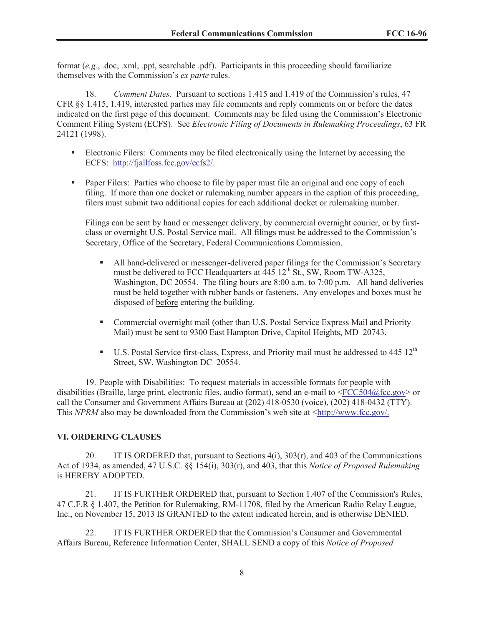format (*e.g.*, .doc, .xml, .ppt, searchable .pdf). Participants in this proceeding should familiarize themselves with the Commission's *ex parte* rules.

18. *Comment Dates.* Pursuant to sections 1.415 and 1.419 of the Commission's rules, 47 CFR §§ 1.415, 1.419, interested parties may file comments and reply comments on or before the dates indicated on the first page of this document. Comments may be filed using the Commission's Electronic Comment Filing System (ECFS). See *Electronic Filing of Documents in Rulemaking Proceedings*, 63 FR 24121 (1998).

- Electronic Filers: Comments may be filed electronically using the Internet by accessing the ECFS: http://fjallfoss.fcc.gov/ecfs2/.
- Paper Filers: Parties who choose to file by paper must file an original and one copy of each filing. If more than one docket or rulemaking number appears in the caption of this proceeding, filers must submit two additional copies for each additional docket or rulemaking number.

Filings can be sent by hand or messenger delivery, by commercial overnight courier, or by firstclass or overnight U.S. Postal Service mail. All filings must be addressed to the Commission's Secretary, Office of the Secretary, Federal Communications Commission.

- § All hand-delivered or messenger-delivered paper filings for the Commission's Secretary must be delivered to FCC Headquarters at  $\overline{445}$  12<sup>th</sup> St., SW, Room TW-A325, Washington, DC 20554. The filing hours are 8:00 a.m. to 7:00 p.m. All hand deliveries must be held together with rubber bands or fasteners. Any envelopes and boxes must be disposed of before entering the building.
- Commercial overnight mail (other than U.S. Postal Service Express Mail and Priority Mail) must be sent to 9300 East Hampton Drive, Capitol Heights, MD 20743.
- U.S. Postal Service first-class, Express, and Priority mail must be addressed to 445 12<sup>th</sup> Street, SW, Washington DC 20554.

19. People with Disabilities: To request materials in accessible formats for people with disabilities (Braille, large print, electronic files, audio format), send an e-mail to  $\leq$ FCC504@fcc.gov> or call the Consumer and Government Affairs Bureau at (202) 418-0530 (voice), (202) 418-0432 (TTY). This *NPRM* also may be downloaded from the Commission's web site at <http://www.fcc.gov/.

#### **VI. ORDERING CLAUSES**

20. IT IS ORDERED that, pursuant to Sections 4(i), 303(r), and 403 of the Communications Act of 1934, as amended, 47 U.S.C. §§ 154(i), 303(r), and 403, that this *Notice of Proposed Rulemaking*  is HEREBY ADOPTED.

21. IT IS FURTHER ORDERED that, pursuant to Section 1.407 of the Commission's Rules, 47 C.F.R § 1.407, the Petition for Rulemaking, RM-11708, filed by the American Radio Relay League, Inc., on November 15, 2013 IS GRANTED to the extent indicated herein, and is otherwise DENIED.

22. IT IS FURTHER ORDERED that the Commission's Consumer and Governmental Affairs Bureau, Reference Information Center, SHALL SEND a copy of this *Notice of Proposed*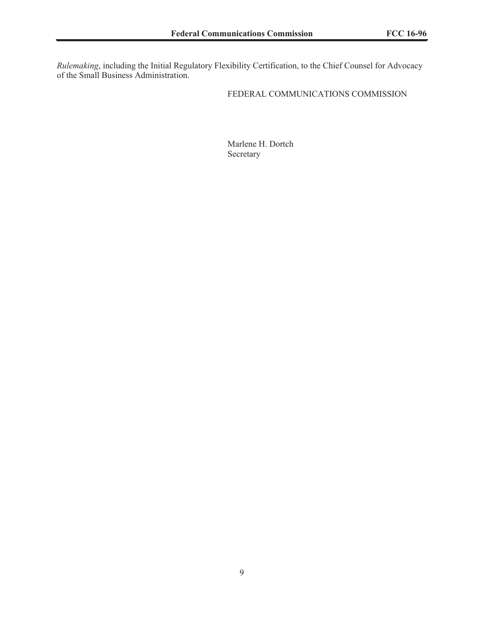*Rulemaking*, including the Initial Regulatory Flexibility Certification, to the Chief Counsel for Advocacy of the Small Business Administration.

#### FEDERAL COMMUNICATIONS COMMISSION

Marlene H. Dortch Secretary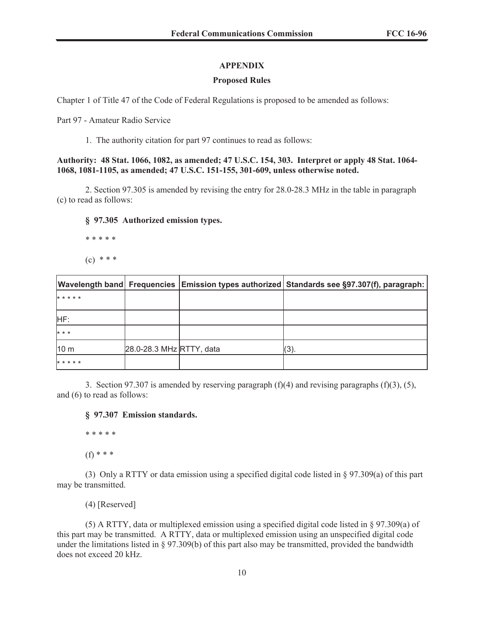### **APPENDIX**

#### **Proposed Rules**

Chapter 1 of Title 47 of the Code of Federal Regulations is proposed to be amended as follows:

Part 97 - Amateur Radio Service

1. The authority citation for part 97 continues to read as follows:

**Authority: 48 Stat. 1066, 1082, as amended; 47 U.S.C. 154, 303. Interpret or apply 48 Stat. 1064- 1068, 1081-1105, as amended; 47 U.S.C. 151-155, 301-609, unless otherwise noted.** 

2. Section 97.305 is amended by revising the entry for 28.0-28.3 MHz in the table in paragraph (c) to read as follows:

#### **§ 97.305 Authorized emission types.**

\* \* \* \* \*

 $(c) * * *$ 

|                 |                          | Wavelength band  Frequencies   Emission types authorized   Standards see §97.307(f), paragraph: |
|-----------------|--------------------------|-------------------------------------------------------------------------------------------------|
| * * * * *       |                          |                                                                                                 |
| HF:             |                          |                                                                                                 |
| $* * *$         |                          |                                                                                                 |
| 10 <sub>m</sub> | 28.0-28.3 MHz RTTY, data | (3)                                                                                             |
| *****           |                          |                                                                                                 |

3. Section 97.307 is amended by reserving paragraph  $(f)(4)$  and revising paragraphs  $(f)(3)$ ,  $(5)$ , and (6) to read as follows:

#### **§ 97.307 Emission standards.**

\* \* \* \* \*

(f) \* \* \*

(3) Only a RTTY or data emission using a specified digital code listed in § 97.309(a) of this part may be transmitted.

(4) [Reserved]

(5) A RTTY, data or multiplexed emission using a specified digital code listed in § 97.309(a) of this part may be transmitted. A RTTY, data or multiplexed emission using an unspecified digital code under the limitations listed in § 97.309(b) of this part also may be transmitted, provided the bandwidth does not exceed 20 kHz.